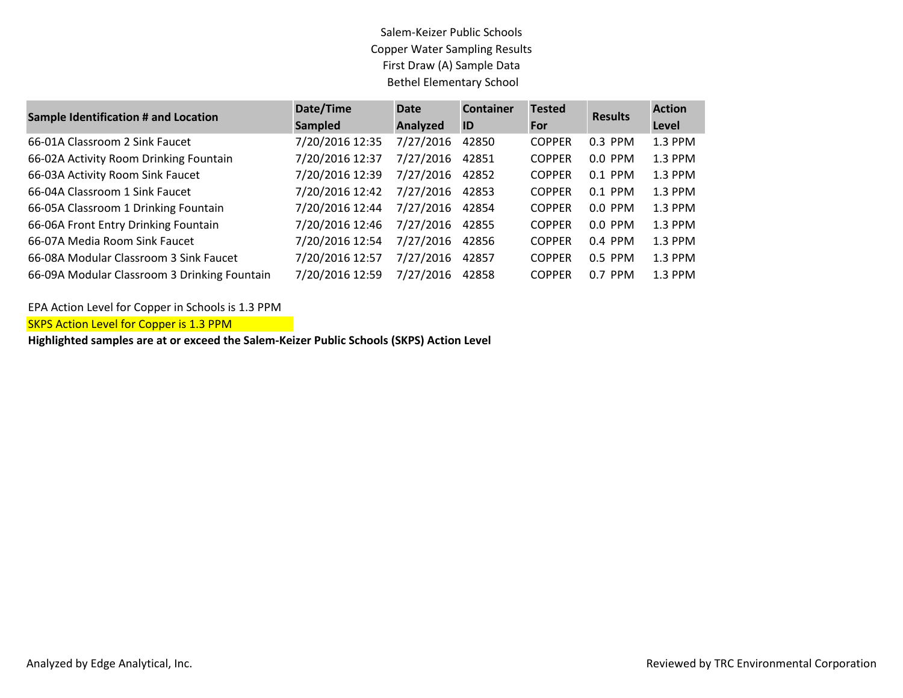## Salem-Keizer Public Schools Copper Water Sampling Results First Draw (A) Sample Data Bethel Elementary School

| <b>Sample Identification # and Location</b>  | Date/Time       | <b>Date</b> | <b>Container</b> | <b>Tested</b> | <b>Results</b> | <b>Action</b> |
|----------------------------------------------|-----------------|-------------|------------------|---------------|----------------|---------------|
|                                              | <b>Sampled</b>  | Analyzed    | ID               | For           |                | Level         |
| 66-01A Classroom 2 Sink Faucet               | 7/20/2016 12:35 | 7/27/2016   | 42850            | <b>COPPER</b> | $0.3$ PPM      | 1.3 PPM       |
| 66-02A Activity Room Drinking Fountain       | 7/20/2016 12:37 | 7/27/2016   | 42851            | <b>COPPER</b> | 0.0 PPM        | 1.3 PPM       |
| 66-03A Activity Room Sink Faucet             | 7/20/2016 12:39 | 7/27/2016   | 42852            | <b>COPPER</b> | $0.1$ PPM      | 1.3 PPM       |
| 66-04A Classroom 1 Sink Faucet               | 7/20/2016 12:42 | 7/27/2016   | 42853            | <b>COPPER</b> | $0.1$ PPM      | 1.3 PPM       |
| 66-05A Classroom 1 Drinking Fountain         | 7/20/2016 12:44 | 7/27/2016   | 42854            | <b>COPPER</b> | $0.0$ PPM      | 1.3 PPM       |
| 66-06A Front Entry Drinking Fountain         | 7/20/2016 12:46 | 7/27/2016   | 42855            | <b>COPPER</b> | $0.0$ PPM      | $1.3$ PPM     |
| 66-07A Media Room Sink Faucet                | 7/20/2016 12:54 | 7/27/2016   | 42856            | <b>COPPER</b> | $0.4$ PPM      | 1.3 PPM       |
| 66-08A Modular Classroom 3 Sink Faucet       | 7/20/2016 12:57 | 7/27/2016   | 42857            | <b>COPPER</b> | 0.5 PPM        | 1.3 PPM       |
| 66-09A Modular Classroom 3 Drinking Fountain | 7/20/2016 12:59 | 7/27/2016   | 42858            | <b>COPPER</b> | $0.7$ PPM      | 1.3 PPM       |

EPA Action Level for Copper in Schools is 1.3 PPM

**SKPS Action Level for Copper is 1.3 PPM** 

**Highlighted samples are at or exceed the Salem-Keizer Public Schools (SKPS) Action Level**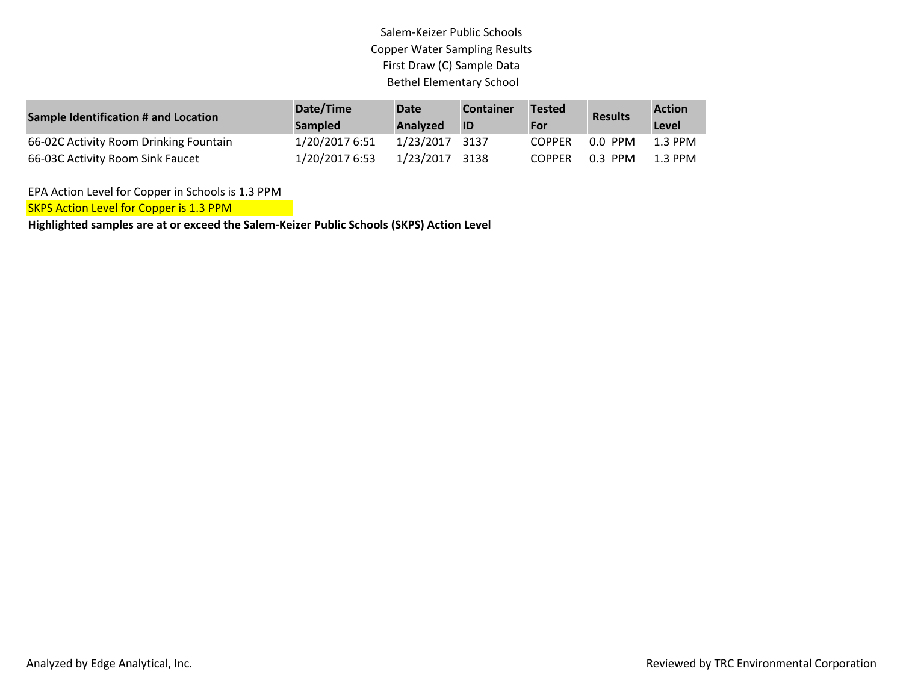## Salem-Keizer Public Schools Copper Water Sampling Results First Draw (C) Sample Data Bethel Elementary School

| <b>Sample Identification # and Location</b> | Date/Time<br><b>Sampled</b> | Date<br>Analyzed | <b>Container</b><br>I ID | <b>Tested</b><br><b>For</b> | <b>Results</b> | <b>Action</b><br>Level |
|---------------------------------------------|-----------------------------|------------------|--------------------------|-----------------------------|----------------|------------------------|
| 66-02C Activity Room Drinking Fountain      | 1/20/2017 6:51              | 1/23/2017 3137   |                          | <b>COPPER</b>               | $0.0$ PPM      | 1.3 PPM                |
| 66-03C Activity Room Sink Faucet            | 1/20/2017 6:53              | 1/23/2017 3138   |                          | <b>COPPER</b>               | $0.3$ PPM      | 1.3 PPM                |

EPA Action Level for Copper in Schools is 1.3 PPM

SKPS Action Level for Copper is 1.3 PPM

**Highlighted samples are at or exceed the Salem-Keizer Public Schools (SKPS) Action Level**